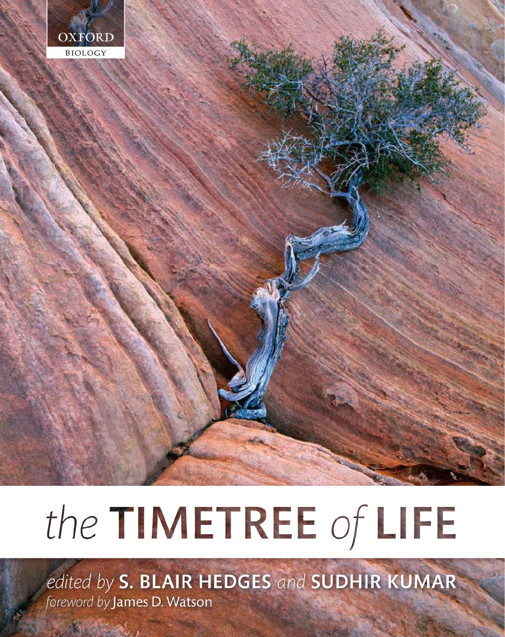

# the TIMETREE of LIFE

edited by S. BLAIR HEDGES and SUDHIR KUMAR foreword by James D. Watson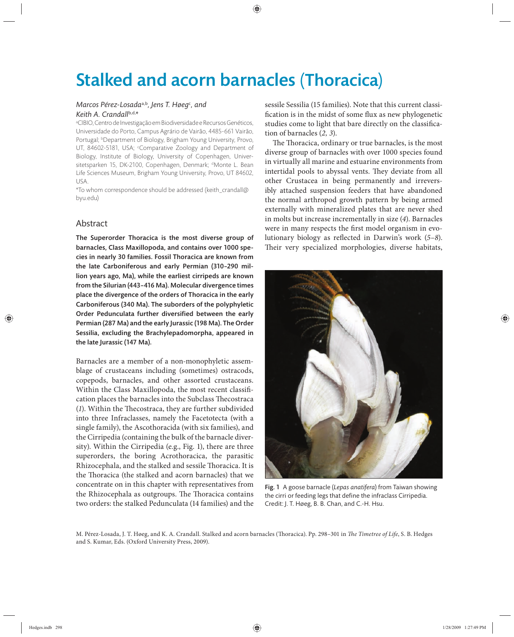# Stalked and acorn barnacles (Thoracica)

## *Marcos Pérez-Losada*a,b*, Jens T. Høeg*<sup>c</sup> *, and Keith A. Crandall*b,d,*\**

a CIBIO, Centro de Investigação em Biodiversidade e Recursos Genéticos, Universidade do Porto, Campus Agrário de Vairão, 4485-661 Vairão, Portugal; <sup>b</sup>Department of Biology, Brigham Young University, Provo, UT, 84602-5181, USA; Comparative Zoology and Department of Biology, Institute of Biology, University of Copenhagen, Universitetsparken 15, DK-2100, Copenhagen, Denmark; <sup>d</sup>Monte L. Bean Life Sciences Museum, Brigham Young University, Provo, UT 84602, USA.

\*To whom correspondence should be addressed (keith\_crandall@ byu.edu)

# Abstract

The Superorder Thoracica is the most diverse group of barnacles, Class Maxillopoda, and contains over 1000 species in nearly 30 families. Fossil Thoracica are known from the late Carboniferous and early Permian (310–290 million years ago, Ma), while the earliest cirripeds are known from the Silurian (443–416 Ma). Molecular divergence times place the divergence of the orders of Thoracica in the early Carboniferous (340 Ma). The suborders of the polyphyletic Order Pedunculata further diversified between the early Permian (287 Ma) and the early Jurassic (198 Ma). The Order Sessilia, excluding the Brachylepadomorpha, appeared in the late Jurassic (147 Ma).

Barnacles are a member of a non-monophyletic assemblage of crustaceans including (sometimes) ostracods, copepods, barnacles, and other assorted crustaceans. Within the Class Maxillopoda, the most recent classification places the barnacles into the Subclass Thecostraca (1). Within the Thecostraca, they are further subdivided into three Infraclasses, namely the Facetotecta (with a single family), the Ascothoracida (with six families), and the Cirripedia (containing the bulk of the barnacle diversity). Within the Cirripedia (e.g., Fig. 1), there are three superorders, the boring Acrothoracica, the parasitic Rhizocephala, and the stalked and sessile Thoracica. It is the Thoracica (the stalked and acorn barnacles) that we concentrate on in this chapter with representatives from the Rhizocephala as outgroups. The Thoracica contains two orders: the stalked Pedunculata (14 families) and the sessile Sessilia (15 families). Note that this current classification is in the midst of some flux as new phylogenetic studies come to light that bare directly on the classification of barnacles (*2, 3*).

The Thoracica, ordinary or true barnacles, is the most diverse group of barnacles with over 1000 species found in virtually all marine and estuarine environments from intertidal pools to abyssal vents. They deviate from all other Crustacea in being permanently and irreversibly attached suspension feeders that have abandoned the normal arthropod growth pattern by being armed externally with mineralized plates that are never shed in molts but increase incrementally in size (*4*). Barnacles were in many respects the first model organism in evolutionary biology as reflected in Darwin's work (5–8). Their very specialized morphologies, diverse habitats,



Fig. 1 A goose barnacle (*Lepas anatifera*) from Taiwan showing the cirri or feeding legs that define the infraclass Cirripedia. Credit: J. T. Høeg, B. B. Chan, and C.-H. Hsu.

M. Pérez-Losada, J. T. Høeg, and K. A. Crandall. Stalked and acorn barnacles (Thoracica). Pp. 298-301 in The Timetree of Life, S. B. Hedges and S. Kumar, Eds. (Oxford University Press, 2009).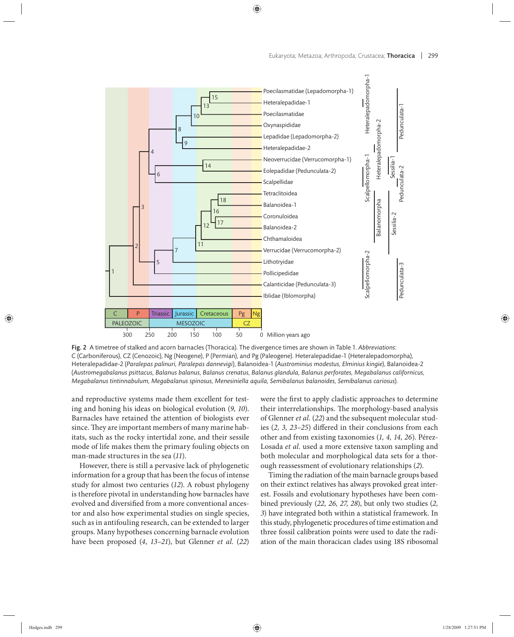

Fig. 2 A timetree of stalked and acorn barnacles (Thoracica). The divergence times are shown in Table 1. *Abbreviations*: C (Carboniferous), CZ (Cenozoic), Ng (Neogene), P (Permian), and Pg (Paleogene). Heteralepadidae-1 (Heteralepadomorpha), Heteralepadidae-2 (*Paralepas palinuri, Paralepas dannevigi*), Balanoidea-1 (*Austrominius modestus, Elminius kingie*), Balanoidea-2 (*Austromegabalanus psittacus, Balanus balanus, Balanus crenatus, Balanus glandula, Balanus perforates, Megabalanus californicus, Megabalanus tintinnabulum, Megabalanus spinosus, Menesiniella aquila, Semibalanus balanoides, Semibalanus cariosus*).

and reproductive systems made them excellent for testing and honing his ideas on biological evolution (*9, 10*). Barnacles have retained the attention of biologists ever since. They are important members of many marine habitats, such as the rocky intertidal zone, and their sessile mode of life makes them the primary fouling objects on man-made structures in the sea (*11*).

However, there is still a pervasive lack of phylogenetic information for a group that has been the focus of intense study for almost two centuries (*12*). A robust phylogeny is therefore pivotal in understanding how barnacles have evolved and diversified from a more conventional ancestor and also how experimental studies on single species, such as in antifouling research, can be extended to larger groups. Many hypotheses concerning barnacle evolution have been proposed (*4*, *13–21*), but Glenner *et al.* (*22*) were the first to apply cladistic approaches to determine their interrelationships. The morphology-based analysis of Glenner *et al.* (*22*) and the subsequent molecular studies (2, 3, 23–25) differed in their conclusions from each other and from existing taxonomies (*1, 4, 14, 26*). Pérez-Losada *et al.* used a more extensive taxon sampling and both molecular and morphological data sets for a thorough reassessment of evolutionary relationships (*2*).

Timing the radiation of the main barnacle groups based on their extinct relatives has always provoked great interest. Fossils and evolutionary hypotheses have been combined previously (*22, 26, 27, 28*), but only two studies (*2, 3*) have integrated both within a statistical framework. In this study, phylogenetic procedures of time estimation and three fossil calibration points were used to date the radiation of the main thoracican clades using 18S ribosomal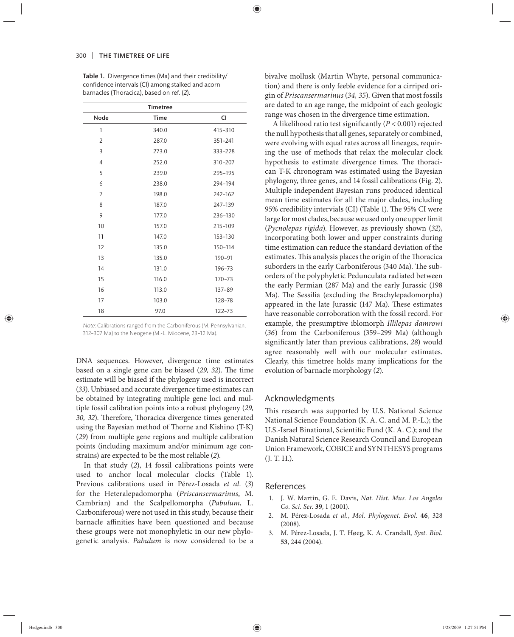|                | <b>Timetree</b> |            |
|----------------|-----------------|------------|
| Node           | <b>Time</b>     | CI         |
| 1              | 340.0           | 415-310    |
| $\overline{2}$ | 287.0           | 351-241    |
| 3              | 273.0           | 333-228    |
| $\overline{4}$ | 252.0           | 310-207    |
| 5              | 239.0           | 295-195    |
| 6              | 238.0           | 294-194    |
| $\overline{7}$ | 198.0           | 242-162    |
| 8              | 187.0           | 247-139    |
| 9              | 177.0           | 236-130    |
| 10             | 157.0           | 215-109    |
| 11             | 147.0           | 153-130    |
| 12             | 135.0           | 150-114    |
| 13             | 135.0           | $190 - 91$ |
| 14             | 131.0           | 196-73     |
| 15             | 116.0           | $170 - 73$ |
| 16             | 113.0           | $137 - 89$ |
| 17             | 103.0           | 128-78     |
| 18             | 97.0            | $122 - 73$ |

Table 1. Divergence times (Ma) and their credibility/ confidence intervals (CI) among stalked and acorn barnacles (Thoracica), based on ref. (*2*).

Note: Calibrations ranged from the Carboniferous (M. Pennsylvanian, 312–307 Ma) to the Neogene (M.-L. Miocene, 23–12 Ma).

DNA sequences. However, divergence time estimates based on a single gene can be biased (29, 32). The time estimate will be biased if the phylogeny used is incorrect (*33*). Unbiased and accurate divergence time estimates can be obtained by integrating multiple gene loci and multiple fossil calibration points into a robust phylogeny (*29,*  30, 32). Therefore, Thoracica divergence times generated using the Bayesian method of Thorne and Kishino (T-K) (*29*) from multiple gene regions and multiple calibration points (including maximum and/or minimum age constrains) are expected to be the most reliable (*2*).

In that study (2), 14 fossil calibrations points were used to anchor local molecular clocks (Table 1). Previous calibrations used in Pérez-Losada *et al.* (*3*) for the Heteralepadomorpha (*Priscansermarinus*, M. Cambrian) and the Scalpellomorpha (*Pabulum*, L. Carboniferous) were not used in this study, because their barnacle affinities have been questioned and because these groups were not monophyletic in our new phylogenetic analysis. *Pabulum* is now considered to be a bivalve mollusk (Martin Whyte, personal communication) and there is only feeble evidence for a cirriped origin of *Priscansermarinus* (*34, 35*). Given that most fossils are dated to an age range, the midpoint of each geologic range was chosen in the divergence time estimation.

A likelihood ratio test significantly  $(P < 0.001)$  rejected the null hypothesis that all genes, separately or combined, were evolving with equal rates across all lineages, requiring the use of methods that relax the molecular clock hypothesis to estimate divergence times. The thoracican T-K chronogram was estimated using the Bayesian phylogeny, three genes, and 14 fossil calibrations (Fig. 2). Multiple independent Bayesian runs produced identical mean time estimates for all the major clades, including 95% credibility intervials (CI) (Table 1). The 95% CI were large for most clades, because we used only one upper limit (*Pycnolepas rigida*). However, as previously shown (*32*), incorporating both lower and upper constraints during time estimation can reduce the standard deviation of the estimates. This analysis places the origin of the Thoracica suborders in the early Carboniferous (340 Ma). The suborders of the polyphyletic Pedunculata radiated between the early Permian (287 Ma) and the early Jurassic (198 Ma). The Sessilia (excluding the Brachylepadomorpha) appeared in the late Jurassic (147 Ma). These estimates have reasonable corroboration with the fossil record. For example, the presumptive iblomorph *Illilepas damrowi* (36) from the Carboniferous (359-299 Ma) (although significantly later than previous calibrations, 28) would agree reasonably well with our molecular estimates. Clearly, this timetree holds many implications for the evolution of barnacle morphology (*2*).

### Acknowledgments

This research was supported by U.S. National Science National Science Foundation (K. A. C. and M. P.-L.); the U.S.-Israel Binational, Scientific Fund (K. A. C.); and the Danish Natural Science Research Council and European Union Framework, COBICE and SYNTHESYS programs (J. T. H.).

#### References

- 1. J. W. Martin, G. E. Davis, *Nat. Hist. Mus. Los Angeles Co. Sci. Ser.* **39**, 1 (2001).
- 2. M. Pérez-Losada *et al.*, *Mol. Phylogenet. Evol.* **46**, 328 (2008).
- 3. M. Pérez-Losada, J. T. Høeg, K. A. Crandall, *Syst. Biol.* **53**, 244 (2004).